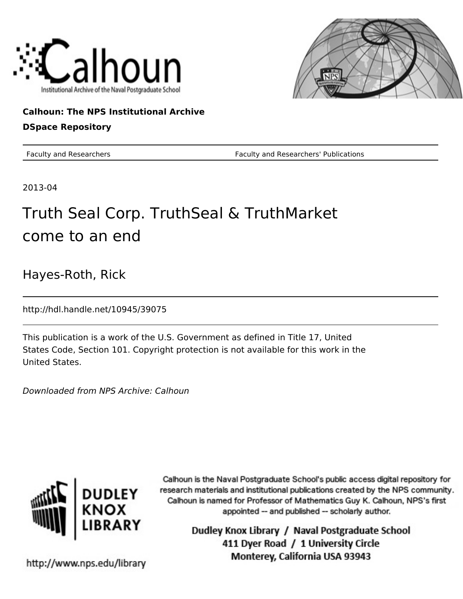



## **Calhoun: The NPS Institutional Archive DSpace Repository**

Faculty and Researchers Faculty and Researchers' Publications

2013-04

## Truth Seal Corp. TruthSeal & TruthMarket come to an end

Hayes-Roth, Rick

http://hdl.handle.net/10945/39075

This publication is a work of the U.S. Government as defined in Title 17, United States Code, Section 101. Copyright protection is not available for this work in the United States.

Downloaded from NPS Archive: Calhoun



Calhoun is the Naval Postgraduate School's public access digital repository for research materials and institutional publications created by the NPS community. Calhoun is named for Professor of Mathematics Guy K. Calhoun, NPS's first appointed -- and published -- scholarly author.

> Dudley Knox Library / Naval Postgraduate School 411 Dyer Road / 1 University Circle Monterey, California USA 93943

http://www.nps.edu/library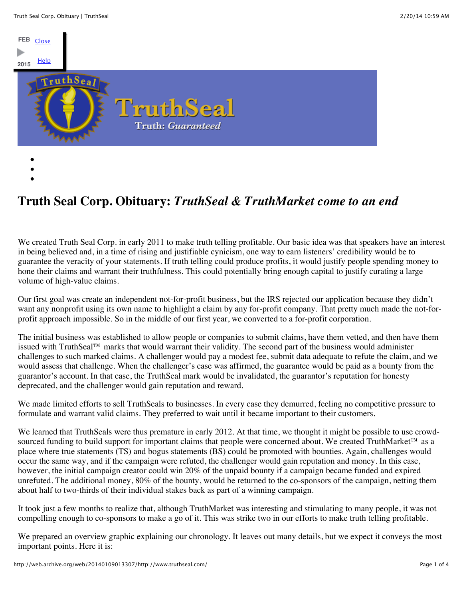

**Truth Seal Corp. Obituary:** *TruthSeal & TruthMarket come to an end*

We created Truth Seal Corp. in early 2011 to make truth telling profitable. Our basic idea was that speakers have an interest in being believed and, in a time of rising and justifiable cynicism, one way to earn listeners' credibility would be to guarantee the veracity of your statements. If truth telling could produce profits, it would justify people spending money to hone their claims and warrant their truthfulness. This could potentially bring enough capital to justify curating a large volume of high-value claims.

Our first goal was create an independent not-for-profit business, but the IRS rejected our application because they didn't want any nonprofit using its own name to highlight a claim by any for-profit company. That pretty much made the not-forprofit approach impossible. So in the middle of our first year, we converted to a for-profit corporation.

The initial business was established to allow people or companies to submit claims, have them vetted, and then have them issued with TruthSeal™ marks that would warrant their validity. The second part of the business would administer challenges to such marked claims. A challenger would pay a modest fee, submit data adequate to refute the claim, and we would assess that challenge. When the challenger's case was affirmed, the guarantee would be paid as a bounty from the guarantor's account. In that case, the TruthSeal mark would be invalidated, the guarantor's reputation for honesty deprecated, and the challenger would gain reputation and reward.

We made limited efforts to sell TruthSeals to businesses. In every case they demurred, feeling no competitive pressure to formulate and warrant valid claims. They preferred to wait until it became important to their customers.

We learned that TruthSeals were thus premature in early 2012. At that time, we thought it might be possible to use crowdsourced funding to build support for important claims that people were concerned about. We created TruthMarket™ as a place where true statements (TS) and bogus statements (BS) could be promoted with bounties. Again, challenges would occur the same way, and if the campaign were refuted, the challenger would gain reputation and money. In this case, however, the initial campaign creator could win 20% of the unpaid bounty if a campaign became funded and expired unrefuted. The additional money, 80% of the bounty, would be returned to the co-sponsors of the campaign, netting them about half to two-thirds of their individual stakes back as part of a winning campaign.

It took just a few months to realize that, although TruthMarket was interesting and stimulating to many people, it was not compelling enough to co-sponsors to make a go of it. This was strike two in our efforts to make truth telling profitable.

We prepared an overview graphic explaining our chronology. It leaves out many details, but we expect it conveys the most important points. Here it is: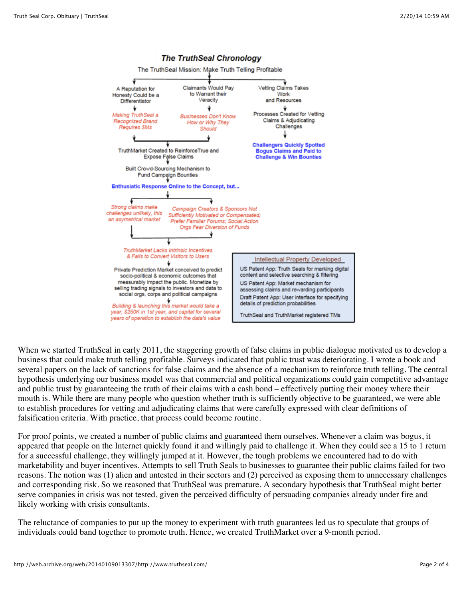

When we started TruthSeal in early 2011, the staggering growth of false claims in public dialogue motivated us to develop a business that could make truth telling profitable. Surveys indicated that public trust was deteriorating. I wrote a book and several papers on the lack of sanctions for false claims and the absence of a mechanism to reinforce truth telling. The central hypothesis underlying our business model was that commercial and political organizations could gain competitive advantage and public trust by guaranteeing the truth of their claims with a cash bond – effectively putting their money where their mouth is. While there are many people who question whether truth is sufficiently objective to be guaranteed, we were able to establish procedures for vetting and adjudicating claims that were carefully expressed with clear definitions of falsification criteria. With practice, that process could become routine.

For proof points, we created a number of public claims and guaranteed them ourselves. Whenever a claim was bogus, it appeared that people on the Internet quickly found it and willingly paid to challenge it. When they could see a 15 to 1 return for a successful challenge, they willingly jumped at it. However, the tough problems we encountered had to do with marketability and buyer incentives. Attempts to sell Truth Seals to businesses to guarantee their public claims failed for two reasons. The notion was (1) alien and untested in their sectors and (2) perceived as exposing them to unnecessary challenges and corresponding risk. So we reasoned that TruthSeal was premature. A secondary hypothesis that TruthSeal might better serve companies in crisis was not tested, given the perceived difficulty of persuading companies already under fire and likely working with crisis consultants.

The reluctance of companies to put up the money to experiment with truth guarantees led us to speculate that groups of individuals could band together to promote truth. Hence, we created TruthMarket over a 9-month period.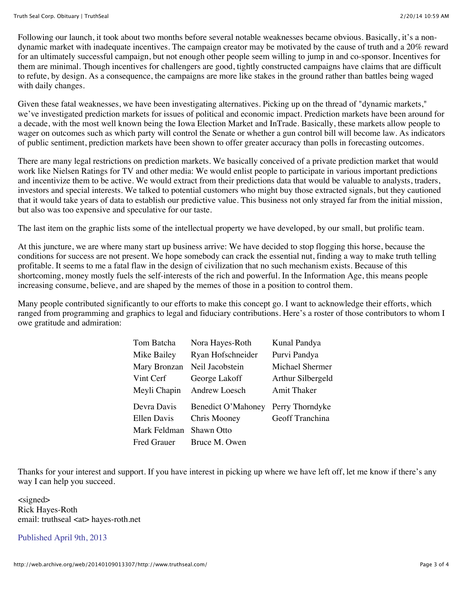Following our launch, it took about two months before several notable weaknesses became obvious. Basically, it's a nondynamic market with inadequate incentives. The campaign creator may be motivated by the cause of truth and a 20% reward for an ultimately successful campaign, but not enough other people seem willing to jump in and co-sponsor. Incentives for them are minimal. Though incentives for challengers are good, tightly constructed campaigns have claims that are difficult to refute, by design. As a consequence, the campaigns are more like stakes in the ground rather than battles being waged with daily changes.

Given these fatal weaknesses, we have been investigating alternatives. Picking up on the thread of "dynamic markets," we've investigated prediction markets for issues of political and economic impact. Prediction markets have been around for a decade, with the most well known being the Iowa Election Market and InTrade. Basically, these markets allow people to wager on outcomes such as which party will control the Senate or whether a gun control bill will become law. As indicators of public sentiment, prediction markets have been shown to offer greater accuracy than polls in forecasting outcomes.

There are many legal restrictions on prediction markets. We basically conceived of a private prediction market that would work like Nielsen Ratings for TV and other media: We would enlist people to participate in various important predictions and incentivize them to be active. We would extract from their predictions data that would be valuable to analysts, traders, investors and special interests. We talked to potential customers who might buy those extracted signals, but they cautioned that it would take years of data to establish our predictive value. This business not only strayed far from the initial mission, but also was too expensive and speculative for our taste.

The last item on the graphic lists some of the intellectual property we have developed, by our small, but prolific team.

At this juncture, we are where many start up business arrive: We have decided to stop flogging this horse, because the conditions for success are not present. We hope somebody can crack the essential nut, finding a way to make truth telling profitable. It seems to me a fatal flaw in the design of civilization that no such mechanism exists. Because of this shortcoming, money mostly fuels the self-interests of the rich and powerful. In the Information Age, this means people increasing consume, believe, and are shaped by the memes of those in a position to control them.

Many people contributed significantly to our efforts to make this concept go. I want to acknowledge their efforts, which ranged from programming and graphics to legal and fiduciary contributions. Here's a roster of those contributors to whom I owe gratitude and admiration:

| Tom Batcha   | Nora Hayes-Roth    | Kunal Pandya       |
|--------------|--------------------|--------------------|
| Mike Bailey  | Ryan Hofschneider  | Purvi Pandya       |
| Mary Bronzan | Neil Jacobstein    | Michael Shermer    |
| Vint Cerf    | George Lakoff      | Arthur Silbergeld  |
| Meyli Chapin | Andrew Loesch      | <b>Amit Thaker</b> |
| Devra Davis  | Benedict O'Mahoney | Perry Thorndyke    |
| Ellen Davis  |                    |                    |
|              | Chris Mooney       | Geoff Tranchina    |
| Mark Feldman | Shawn Otto         |                    |

Thanks for your interest and support. If you have interest in picking up where we have left off, let me know if there's any way I can help you succeed.

<signed> Rick Hayes-Roth email: truthseal <at> hayes-roth.net

Published April 9th, 2013